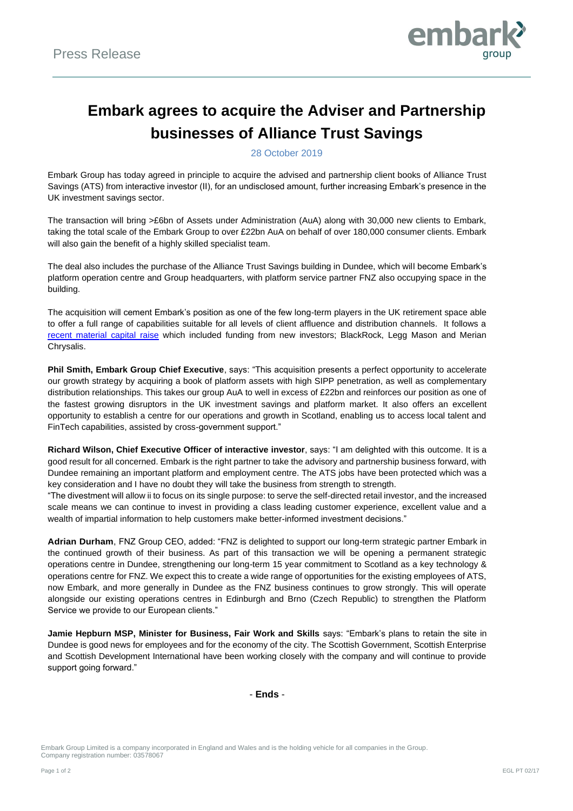

# **Embark agrees to acquire the Adviser and Partnership businesses of Alliance Trust Savings**

28 October 2019

Embark Group has today agreed in principle to acquire the advised and partnership client books of Alliance Trust Savings (ATS) from interactive investor (II), for an undisclosed amount, further increasing Embark's presence in the UK investment savings sector.

The transaction will bring >£6bn of Assets under Administration (AuA) along with 30,000 new clients to Embark, taking the total scale of the Embark Group to over £22bn AuA on behalf of over 180,000 consumer clients. Embark will also gain the benefit of a highly skilled specialist team.

The deal also includes the purchase of the Alliance Trust Savings building in Dundee, which will become Embark's platform operation centre and Group headquarters, with platform service partner FNZ also occupying space in the building.

The acquisition will cement Embark's position as one of the few long-term players in the UK retirement space able to offer a full range of capabilities suitable for all levels of client affluence and distribution channels. It follows a [recent material capital raise](https://embarkgroup.co.uk/wp-content/uploads/2019/07/Press-Release-FINAL-1.pdf) which included funding from new investors; BlackRock, Legg Mason and Merian Chrysalis.

**Phil Smith, Embark Group Chief Executive**, says: "This acquisition presents a perfect opportunity to accelerate our growth strategy by acquiring a book of platform assets with high SIPP penetration, as well as complementary distribution relationships. This takes our group AuA to well in excess of £22bn and reinforces our position as one of the fastest growing disruptors in the UK investment savings and platform market. It also offers an excellent opportunity to establish a centre for our operations and growth in Scotland, enabling us to access local talent and FinTech capabilities, assisted by cross-government support."

**Richard Wilson, Chief Executive Officer of interactive investor**, says: "I am delighted with this outcome. It is a good result for all concerned. Embark is the right partner to take the advisory and partnership business forward, with Dundee remaining an important platform and employment centre. The ATS jobs have been protected which was a key consideration and I have no doubt they will take the business from strength to strength.

"The divestment will allow ii to focus on its single purpose: to serve the self-directed retail investor, and the increased scale means we can continue to invest in providing a class leading customer experience, excellent value and a wealth of impartial information to help customers make better-informed investment decisions."

**Adrian Durham**, FNZ Group CEO, added: "FNZ is delighted to support our long-term strategic partner Embark in the continued growth of their business. As part of this transaction we will be opening a permanent strategic operations centre in Dundee, strengthening our long-term 15 year commitment to Scotland as a key technology & operations centre for FNZ. We expect this to create a wide range of opportunities for the existing employees of ATS, now Embark, and more generally in Dundee as the FNZ business continues to grow strongly. This will operate alongside our existing operations centres in Edinburgh and Brno (Czech Republic) to strengthen the Platform Service we provide to our European clients."

**Jamie Hepburn MSP, Minister for Business, Fair Work and Skills** says: "Embark's plans to retain the site in Dundee is good news for employees and for the economy of the city. The Scottish Government, Scottish Enterprise and Scottish Development International have been working closely with the company and will continue to provide support going forward."

- **Ends** -

Embark Group Limited is a company incorporated in England and Wales and is the holding vehicle for all companies in the Group. Company registration number: 03578067